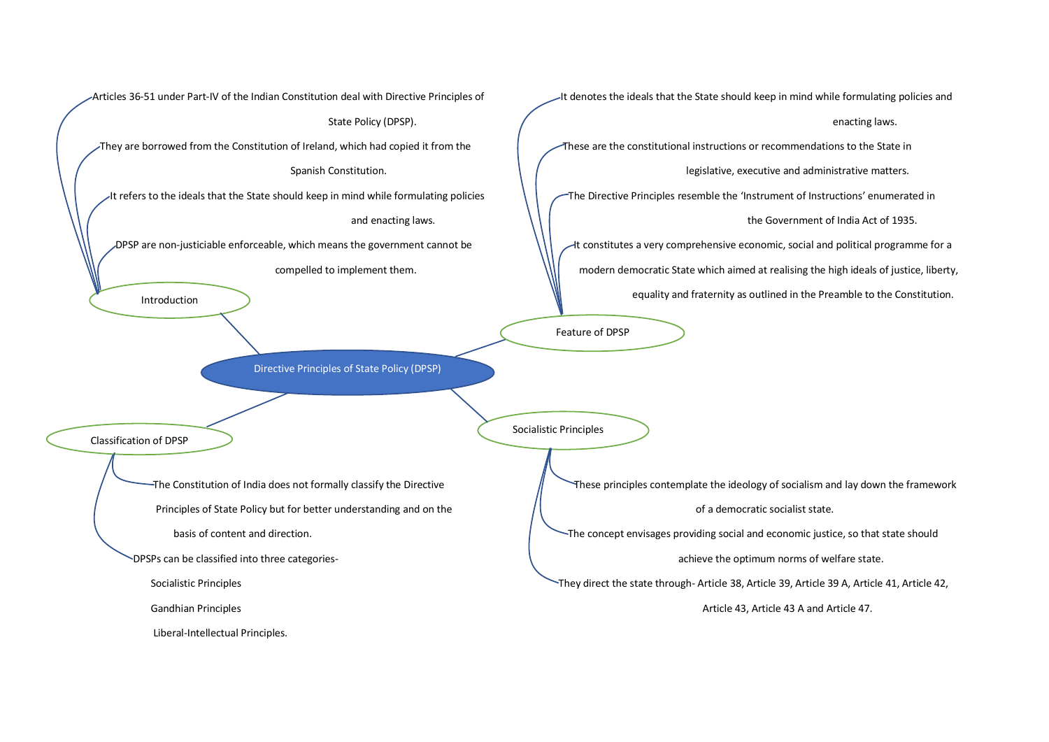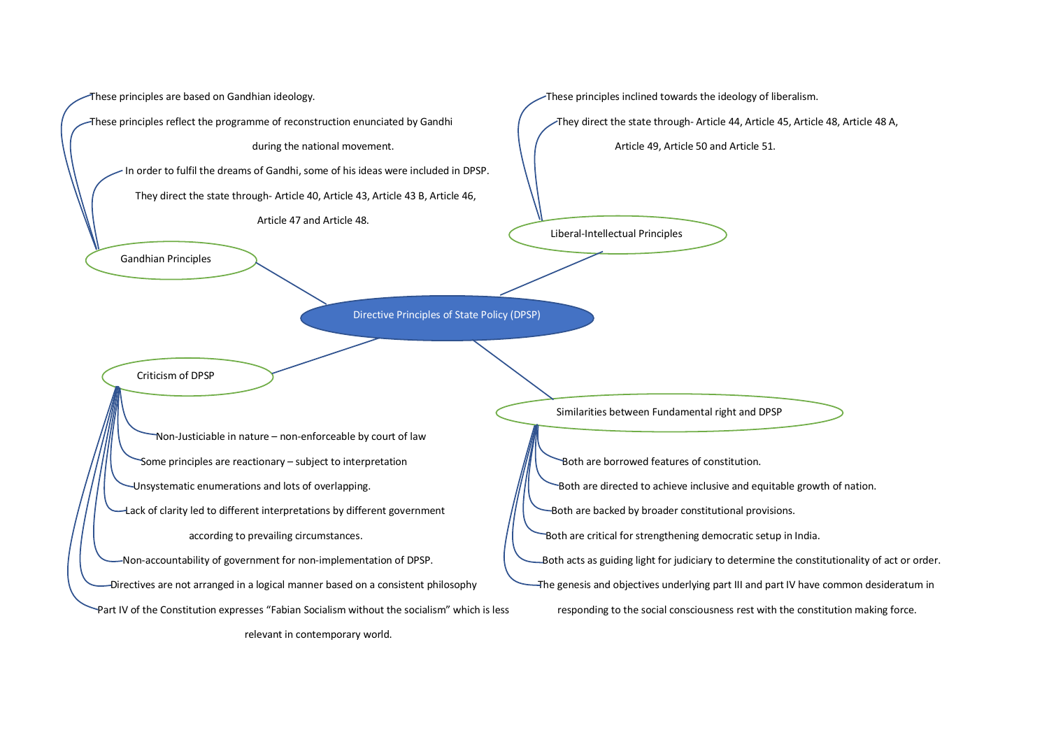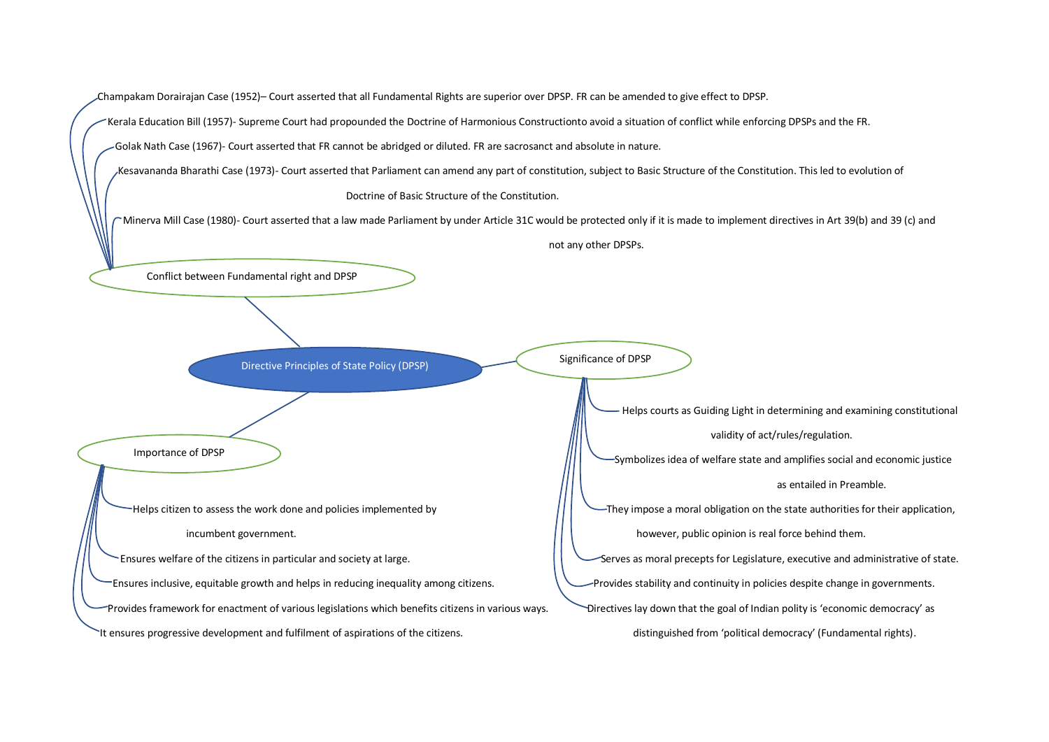